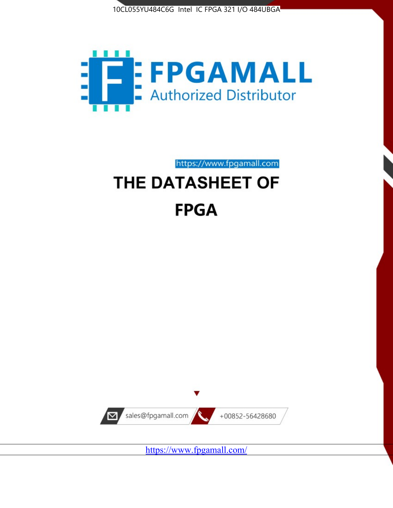



# https://www.fpgamall.com THE DATASHEET OF **FPGA**



https://www.fpgamall.com/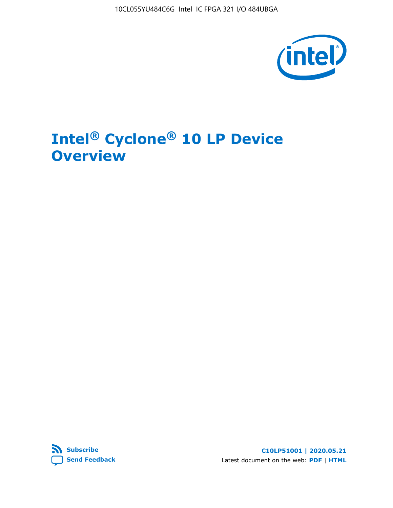10CL055YU484C6G Intel IC FPGA 321 I/O 484UBGA



# **Intel® Cyclone® 10 LP Device Overview**



**C10LP51001 | 2020.05.21** Latest document on the web: **[PDF](https://www.intel.com/content/dam/www/programmable/us/en/pdfs/literature/hb/cyclone-10/c10lp-51001.pdf)** | **[HTML](https://www.intel.com/content/www/us/en/programmable/documentation/hci1490246873896.html)**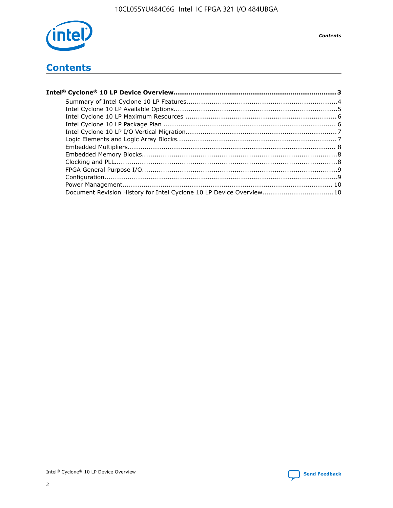

**Contents** 

## **Contents**

| Document Revision History for Intel Cyclone 10 LP Device Overview10 |  |
|---------------------------------------------------------------------|--|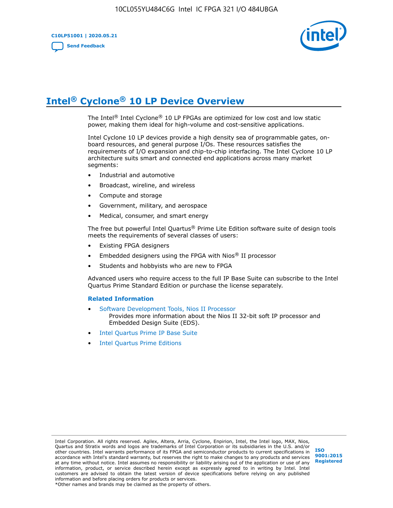**C10LP51001 | 2020.05.21 [Send Feedback](mailto:FPGAtechdocfeedback@intel.com?subject=Feedback%20on%20Intel%20Cyclone%2010%20LP%20Device%20Overview%20(C10LP51001%202020.05.21)&body=We%20appreciate%20your%20feedback.%20In%20your%20comments,%20also%20specify%20the%20page%20number%20or%20paragraph.%20Thank%20you.)**



# **Intel® Cyclone® 10 LP Device Overview**

The Intel® Intel Cyclone® 10 LP FPGAs are optimized for low cost and low static power, making them ideal for high-volume and cost-sensitive applications.

Intel Cyclone 10 LP devices provide a high density sea of programmable gates, onboard resources, and general purpose I/Os. These resources satisfies the requirements of I/O expansion and chip-to-chip interfacing. The Intel Cyclone 10 LP architecture suits smart and connected end applications across many market segments:

- Industrial and automotive
- Broadcast, wireline, and wireless
- Compute and storage
- Government, military, and aerospace
- Medical, consumer, and smart energy

The free but powerful Intel Quartus® Prime Lite Edition software suite of design tools meets the requirements of several classes of users:

- Existing FPGA designers
- Embedded designers using the FPGA with Nios® II processor
- Students and hobbyists who are new to FPGA

Advanced users who require access to the full IP Base Suite can subscribe to the Intel Quartus Prime Standard Edition or purchase the license separately.

#### **Related Information**

- [Software Development Tools, Nios II Processor](https://www.altera.com/products/processors/design-tools.html) Provides more information about the Nios II 32-bit soft IP processor and Embedded Design Suite (EDS).
- [Intel Quartus Prime IP Base Suite](https://www.altera.com/products/intellectual-property/design/ip-base-suite.html)
- **[Intel Quartus Prime Editions](https://www.altera.com/products/design-software/fpga-design/quartus-prime/download.html)**

Intel Corporation. All rights reserved. Agilex, Altera, Arria, Cyclone, Enpirion, Intel, the Intel logo, MAX, Nios, Quartus and Stratix words and logos are trademarks of Intel Corporation or its subsidiaries in the U.S. and/or other countries. Intel warrants performance of its FPGA and semiconductor products to current specifications in accordance with Intel's standard warranty, but reserves the right to make changes to any products and services at any time without notice. Intel assumes no responsibility or liability arising out of the application or use of any information, product, or service described herein except as expressly agreed to in writing by Intel. Intel customers are advised to obtain the latest version of device specifications before relying on any published information and before placing orders for products or services.

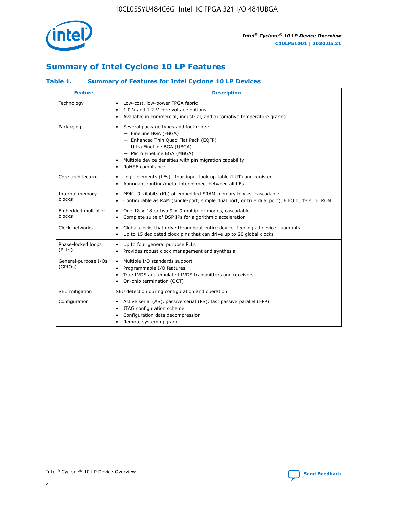

## **Summary of Intel Cyclone 10 LP Features**

## **Table 1. Summary of Features for Intel Cyclone 10 LP Devices**

| <b>Feature</b>                  | <b>Description</b>                                                                                                                                                                                                                                        |
|---------------------------------|-----------------------------------------------------------------------------------------------------------------------------------------------------------------------------------------------------------------------------------------------------------|
| Technology                      | Low-cost, low-power FPGA fabric<br>$\bullet$<br>1.0 V and 1.2 V core voltage options<br>Available in commercial, industrial, and automotive temperature grades                                                                                            |
| Packaging                       | Several package types and footprints:<br>٠<br>- FineLine BGA (FBGA)<br>- Enhanced Thin Quad Flat Pack (EQFP)<br>- Ultra FineLine BGA (UBGA)<br>- Micro FineLine BGA (MBGA)<br>Multiple device densities with pin migration capability<br>RoHS6 compliance |
| Core architecture               | Logic elements (LEs)-four-input look-up table (LUT) and register<br>٠<br>Abundant routing/metal interconnect between all LEs<br>٠                                                                                                                         |
| Internal memory<br>blocks       | M9K-9-kilobits (Kb) of embedded SRAM memory blocks, cascadable<br>$\bullet$<br>Configurable as RAM (single-port, simple dual port, or true dual port), FIFO buffers, or ROM<br>$\bullet$                                                                  |
| Embedded multiplier<br>blocks   | One $18 \times 18$ or two 9 $\times$ 9 multiplier modes, cascadable<br>$\bullet$<br>Complete suite of DSP IPs for algorithmic acceleration<br>$\bullet$                                                                                                   |
| Clock networks                  | Global clocks that drive throughout entire device, feeding all device quadrants<br>٠<br>Up to 15 dedicated clock pins that can drive up to 20 global clocks<br>$\bullet$                                                                                  |
| Phase-locked loops<br>(PLLs)    | Up to four general purpose PLLs<br>٠<br>Provides robust clock management and synthesis<br>$\bullet$                                                                                                                                                       |
| General-purpose I/Os<br>(GPIOs) | Multiple I/O standards support<br>$\bullet$<br>Programmable I/O features<br>٠<br>True LVDS and emulated LVDS transmitters and receivers<br>$\bullet$<br>On-chip termination (OCT)<br>٠                                                                    |
| SEU mitigation                  | SEU detection during configuration and operation                                                                                                                                                                                                          |
| Configuration                   | Active serial (AS), passive serial (PS), fast passive parallel (FPP)<br>$\bullet$<br>JTAG configuration scheme<br>$\bullet$<br>Configuration data decompression<br>Remote system upgrade<br>٠                                                             |

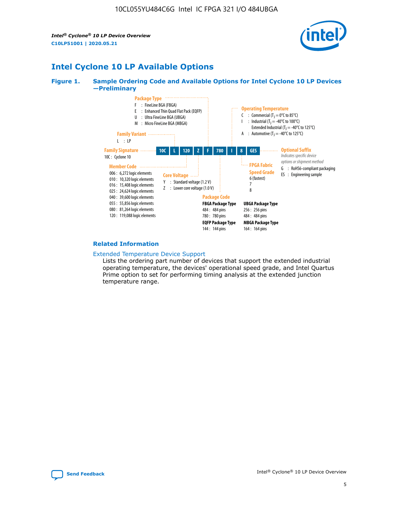*Intel® Cyclone® 10 LP Device Overview* **C10LP51001 | 2020.05.21**



## **Intel Cyclone 10 LP Available Options**

#### **Figure 1. Sample Ordering Code and Available Options for Intel Cyclone 10 LP Devices —Preliminary**



#### **Related Information**

#### [Extended Temperature Device Support](https://www.intel.com/content/www/us/en/products/programmable/temperature.html)

Lists the ordering part number of devices that support the extended industrial operating temperature, the devices' operational speed grade, and Intel Quartus Prime option to set for performing timing analysis at the extended junction temperature range.

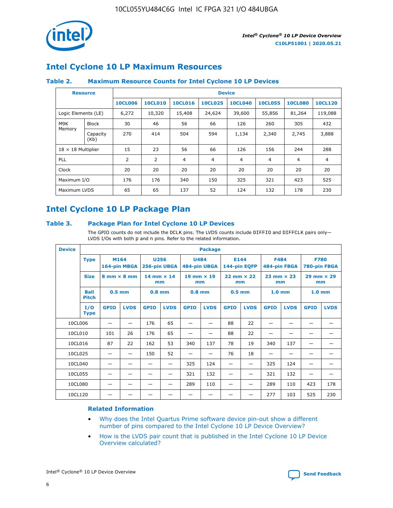

## **Intel Cyclone 10 LP Maximum Resources**

### **Table 2. Maximum Resource Counts for Intel Cyclone 10 LP Devices**

|                            | <b>Resource</b> | <b>Device</b>  |                |                |                |                |                |                |                |
|----------------------------|-----------------|----------------|----------------|----------------|----------------|----------------|----------------|----------------|----------------|
|                            |                 | <b>10CL006</b> | <b>10CL010</b> | <b>10CL016</b> | <b>10CL025</b> | <b>10CL040</b> | <b>10CL055</b> | <b>10CL080</b> | <b>10CL120</b> |
| Logic Elements (LE)        |                 | 6,272          | 10,320         | 15,408         | 24,624         | 39,600         | 55,856         | 81,264         | 119,088        |
| M9K                        | <b>Block</b>    | 30             | 46             | 56             | 66             | 126            | 260            | 305            | 432            |
| Memory<br>Capacity<br>(Kb) |                 | 270            | 414            | 504            | 594            | 1,134          | 2,340          | 2,745          | 3,888          |
| $18 \times 18$ Multiplier  |                 | 15             | 23             | 56             | 66             | 126            | 156            | 244            | 288            |
| <b>PLL</b>                 |                 | 2              | 2              | 4              | 4              | $\overline{4}$ | 4              | $\overline{4}$ | 4              |
| Clock                      |                 | 20             | 20             | 20             | 20             | 20             | 20             | 20             | 20             |
| Maximum I/O                |                 | 176            | 176            | 340            | 150            | 325            | 321            | 423            | 525            |
| Maximum LVDS               |                 | 65             | 65             | 137            | 52             | 124            | 132            | 178            | 230            |

## **Intel Cyclone 10 LP Package Plan**

#### **Table 3. Package Plan for Intel Cyclone 10 LP Devices**

The GPIO counts do not include the DCLK pins. The LVDS counts include DIFFIO and DIFFCLK pairs only-LVDS I/Os with both p and n pins. Refer to the related information.

| <b>Device</b> | <b>Package</b>                                    |             |                           |             |                             |             |                           |             |                             |                   |                             |                   |             |
|---------------|---------------------------------------------------|-------------|---------------------------|-------------|-----------------------------|-------------|---------------------------|-------------|-----------------------------|-------------------|-----------------------------|-------------------|-------------|
|               | M164<br><b>Type</b><br>164-pin MBGA               |             | 256-pin UBGA              | <b>U256</b> | <b>U484</b><br>484-pin UBGA |             | E144<br>144-pin EQFP      |             | <b>F484</b><br>484-pin FBGA |                   | <b>F780</b><br>780-pin FBGA |                   |             |
|               | <b>Size</b><br>$8 \text{ mm} \times 8 \text{ mm}$ |             | $14$ mm $\times$ 14<br>mm |             | $19$ mm $\times$ 19<br>mm   |             | $22$ mm $\times$ 22<br>mm |             | $23$ mm $\times$ 23<br>mm   |                   | $29$ mm $\times$ 29<br>mm   |                   |             |
|               | <b>Ball</b><br><b>Pitch</b>                       | $0.5$ mm    |                           | $0.8$ mm    |                             | $0.8$ mm    |                           | $0.5$ mm    |                             | 1.0 <sub>mm</sub> |                             | 1.0 <sub>mm</sub> |             |
|               | I/O<br><b>Type</b>                                | <b>GPIO</b> | <b>LVDS</b>               | <b>GPIO</b> | <b>LVDS</b>                 | <b>GPIO</b> | <b>LVDS</b>               | <b>GPIO</b> | <b>LVDS</b>                 | <b>GPIO</b>       | <b>LVDS</b>                 | <b>GPIO</b>       | <b>LVDS</b> |
| 10CL006       |                                                   |             |                           | 176         | 65                          |             |                           | 88          | 22                          |                   |                             |                   |             |
| 10CL010       |                                                   | 101         | 26                        | 176         | 65                          |             |                           | 88          | 22                          |                   |                             |                   |             |
| 10CL016       |                                                   | 87          | 22                        | 162         | 53                          | 340         | 137                       | 78          | 19                          | 340               | 137                         |                   |             |
| 10CL025       |                                                   | —           | —                         | 150         | 52                          | —           |                           | 76          | 18                          | -                 | —                           |                   |             |
| 10CL040       |                                                   |             |                           |             |                             | 325         | 124                       |             |                             | 325               | 124                         |                   |             |
| 10CL055       |                                                   |             |                           |             |                             | 321         | 132                       |             |                             | 321               | 132                         |                   |             |
| 10CL080       |                                                   |             |                           |             |                             | 289         | 110                       |             |                             | 289               | 110                         | 423               | 178         |
| 10CL120       |                                                   |             |                           |             |                             |             |                           |             |                             | 277               | 103                         | 525               | 230         |

### **Related Information**

- [Why does the Intel Quartus Prime software device pin-out show a different](https://www.intel.com/content/altera-www/global/en_us/index/support/support-resources/knowledge-base/component/2020/why-does-intel--quartus--device-pinout-pin-count-shows-a-differe0.html) [number of pins compared to the Intel Cyclone 10 LP Device Overview?](https://www.intel.com/content/altera-www/global/en_us/index/support/support-resources/knowledge-base/component/2020/why-does-intel--quartus--device-pinout-pin-count-shows-a-differe0.html)
- [How is the LVDS pair count that is published in the Intel Cyclone 10 LP Device](https://www.intel.com/content/altera-www/global/en_us/index/support/support-resources/knowledge-base/component/2020/how-is-the-lvds-pair-count-in-intel--cyclone--10-device-overview.html) [Overview calculated?](https://www.intel.com/content/altera-www/global/en_us/index/support/support-resources/knowledge-base/component/2020/how-is-the-lvds-pair-count-in-intel--cyclone--10-device-overview.html)



Intel<sup>®</sup> Cyclone<sup>®</sup> 10 LP Device Overview **[Send Feedback](mailto:FPGAtechdocfeedback@intel.com?subject=Feedback%20on%20Intel%20Cyclone%2010%20LP%20Device%20Overview%20(C10LP51001%202020.05.21)&body=We%20appreciate%20your%20feedback.%20In%20your%20comments,%20also%20specify%20the%20page%20number%20or%20paragraph.%20Thank%20you.)** Send Feedback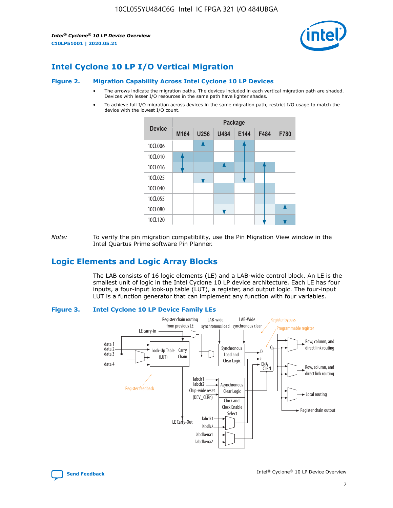*Intel® Cyclone® 10 LP Device Overview* **C10LP51001 | 2020.05.21**



## **Intel Cyclone 10 LP I/O Vertical Migration**

#### **Figure 2. Migration Capability Across Intel Cyclone 10 LP Devices**

- The arrows indicate the migration paths. The devices included in each vertical migration path are shaded. Devices with lesser I/O resources in the same path have lighter shades.
- To achieve full I/O migration across devices in the same migration path, restrict I/O usage to match the device with the lowest I/O count.



*Note:* To verify the pin migration compatibility, use the Pin Migration View window in the Intel Quartus Prime software Pin Planner.

## **Logic Elements and Logic Array Blocks**

The LAB consists of 16 logic elements (LE) and a LAB-wide control block. An LE is the smallest unit of logic in the Intel Cyclone 10 LP device architecture. Each LE has four inputs, a four-input look-up table (LUT), a register, and output logic. The four-input LUT is a function generator that can implement any function with four variables.

#### **Figure 3. Intel Cyclone 10 LP Device Family LEs**



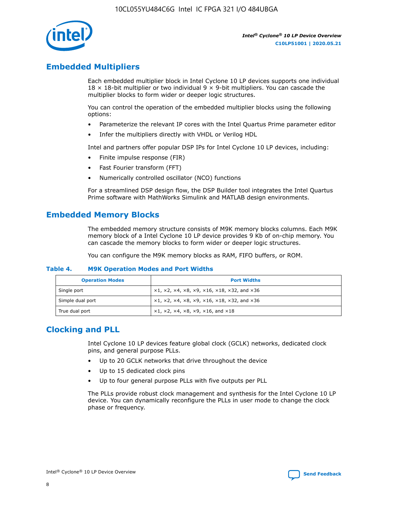

## **Embedded Multipliers**

Each embedded multiplier block in Intel Cyclone 10 LP devices supports one individual  $18 \times 18$ -bit multiplier or two individual 9  $\times$  9-bit multipliers. You can cascade the multiplier blocks to form wider or deeper logic structures.

You can control the operation of the embedded multiplier blocks using the following options:

- Parameterize the relevant IP cores with the Intel Quartus Prime parameter editor
- Infer the multipliers directly with VHDL or Verilog HDL

Intel and partners offer popular DSP IPs for Intel Cyclone 10 LP devices, including:

- Finite impulse response (FIR)
- Fast Fourier transform (FFT)
- Numerically controlled oscillator (NCO) functions

For a streamlined DSP design flow, the DSP Builder tool integrates the Intel Quartus Prime software with MathWorks Simulink and MATLAB design environments.

## **Embedded Memory Blocks**

The embedded memory structure consists of M9K memory blocks columns. Each M9K memory block of a Intel Cyclone 10 LP device provides 9 Kb of on-chip memory. You can cascade the memory blocks to form wider or deeper logic structures.

You can configure the M9K memory blocks as RAM, FIFO buffers, or ROM.

#### **Table 4. M9K Operation Modes and Port Widths**

| <b>Operation Modes</b> | <b>Port Widths</b>                           |
|------------------------|----------------------------------------------|
| Single port            | $x1, x2, x4, x8, x9, x16, x18, x32, and x36$ |
| Simple dual port       | $x1, x2, x4, x8, x9, x16, x18, x32, and x36$ |
| True dual port         | x1, x2, x4, x8, x9, x16, and x18             |

## **Clocking and PLL**

Intel Cyclone 10 LP devices feature global clock (GCLK) networks, dedicated clock pins, and general purpose PLLs.

- Up to 20 GCLK networks that drive throughout the device
- Up to 15 dedicated clock pins
- Up to four general purpose PLLs with five outputs per PLL

The PLLs provide robust clock management and synthesis for the Intel Cyclone 10 LP device. You can dynamically reconfigure the PLLs in user mode to change the clock phase or frequency.

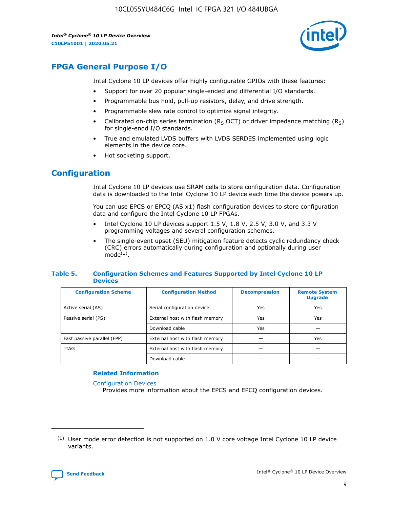*Intel® Cyclone® 10 LP Device Overview* **C10LP51001 | 2020.05.21**



## **FPGA General Purpose I/O**

Intel Cyclone 10 LP devices offer highly configurable GPIOs with these features:

- Support for over 20 popular single-ended and differential I/O standards.
- Programmable bus hold, pull-up resistors, delay, and drive strength.
- Programmable slew rate control to optimize signal integrity.
- Calibrated on-chip series termination ( $R<sub>S</sub>$  OCT) or driver impedance matching ( $R<sub>S</sub>$ ) for single-endd I/O standards.
- True and emulated LVDS buffers with LVDS SERDES implemented using logic elements in the device core.
- Hot socketing support.

## **Configuration**

Intel Cyclone 10 LP devices use SRAM cells to store configuration data. Configuration data is downloaded to the Intel Cyclone 10 LP device each time the device powers up.

You can use EPCS or EPCQ (AS x1) flash configuration devices to store configuration data and configure the Intel Cyclone 10 LP FPGAs.

- Intel Cyclone 10 LP devices support 1.5 V, 1.8 V, 2.5 V, 3.0 V, and 3.3 V programming voltages and several configuration schemes.
- The single-event upset (SEU) mitigation feature detects cyclic redundancy check (CRC) errors automatically during configuration and optionally during user  $mode<sup>(1)</sup>$ .

#### **Table 5. Configuration Schemes and Features Supported by Intel Cyclone 10 LP Devices**

| <b>Configuration Scheme</b> | <b>Configuration Method</b>     | <b>Decompression</b> | <b>Remote System</b><br><b>Upgrade</b> |  |
|-----------------------------|---------------------------------|----------------------|----------------------------------------|--|
| Active serial (AS)          | Serial configuration device     | Yes                  | Yes                                    |  |
| Passive serial (PS)         | External host with flash memory | Yes                  | Yes                                    |  |
|                             | Download cable                  | Yes                  |                                        |  |
| Fast passive parallel (FPP) | External host with flash memory |                      | Yes                                    |  |
| JTAG                        | External host with flash memory |                      |                                        |  |
|                             | Download cable                  |                      |                                        |  |

#### **Related Information**

[Configuration Devices](https://www.altera.com/products/configuration-devices/overview.html)

Provides more information about the EPCS and EPCQ configuration devices.

 $(1)$  User mode error detection is not supported on 1.0 V core voltage Intel Cyclone 10 LP device variants.

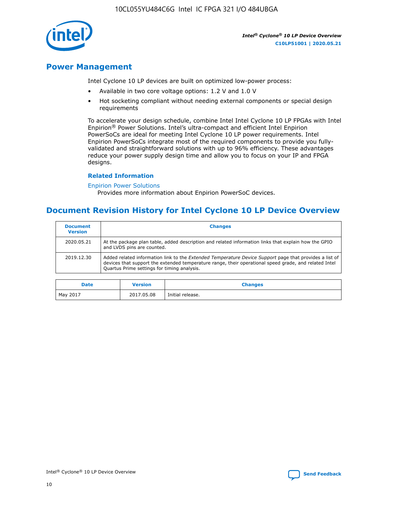10CL055YU484C6G Intel IC FPGA 321 I/O 484UBGA



*Intel® Cyclone® 10 LP Device Overview* **C10LP51001 | 2020.05.21**

## **Power Management**

Intel Cyclone 10 LP devices are built on optimized low-power process:

- Available in two core voltage options: 1.2 V and 1.0 V
- Hot socketing compliant without needing external components or special design requirements

To accelerate your design schedule, combine Intel Intel Cyclone 10 LP FPGAs with Intel Enpirion® Power Solutions. Intel's ultra-compact and efficient Intel Enpirion PowerSoCs are ideal for meeting Intel Cyclone 10 LP power requirements. Intel Enpirion PowerSoCs integrate most of the required components to provide you fullyvalidated and straightforward solutions with up to 96% efficiency. These advantages reduce your power supply design time and allow you to focus on your IP and FPGA designs.

#### **Related Information**

#### [Enpirion Power Solutions](https://www.altera.com/products/power/devices.html)

Provides more information about Enpirion PowerSoC devices.

## **Document Revision History for Intel Cyclone 10 LP Device Overview**

| <b>Document</b><br><b>Version</b> | <b>Changes</b>                                                                                                                                                                                                                                                        |
|-----------------------------------|-----------------------------------------------------------------------------------------------------------------------------------------------------------------------------------------------------------------------------------------------------------------------|
| 2020.05.21                        | At the package plan table, added description and related information links that explain how the GPIO<br>and LVDS pins are counted.                                                                                                                                    |
| 2019.12.30                        | Added related information link to the <i>Extended Temperature Device Support</i> page that provides a list of<br>devices that support the extended temperature range, their operational speed grade, and related Intel<br>Quartus Prime settings for timing analysis. |

| <b>Date</b> | <b>Version</b> | <b>Changes</b>   |
|-------------|----------------|------------------|
| May 2017    | 2017.05.08     | Initial release. |